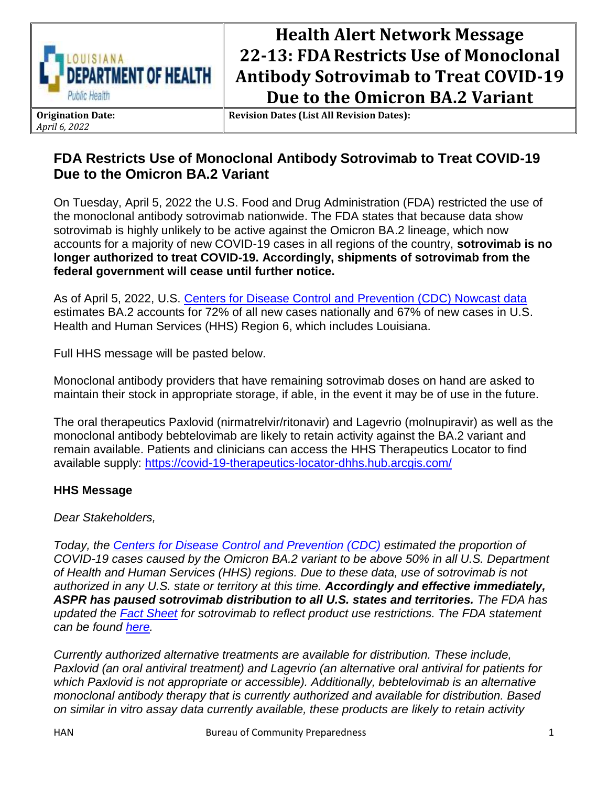

## **Health Alert Network Message 22-13: FDARestricts Use of Monoclonal Antibody Sotrovimab to Treat COVID-19 Due to the Omicron BA.2 Variant**

**Origination Date:** *April 6, 2022*

**Revision Dates (List All Revision Dates):**

## **FDA Restricts Use of Monoclonal Antibody Sotrovimab to Treat COVID-19 Due to the Omicron BA.2 Variant**

On Tuesday, April 5, 2022 the U.S. Food and Drug Administration (FDA) restricted the use of the monoclonal antibody sotrovimab nationwide. The FDA states that because data show sotrovimab is highly unlikely to be active against the Omicron BA.2 lineage, which now accounts for a majority of new COVID-19 cases in all regions of the country, **sotrovimab is no longer authorized to treat COVID-19. Accordingly, shipments of sotrovimab from the federal government will cease until further notice.** 

As of April 5, 2022, U.S. [Centers for Disease Control and Prevention \(CDC\) Nowcast data](https://covid.cdc.gov/covid-data-tracker/#variant-proportions) estimates BA.2 accounts for 72% of all new cases nationally and 67% of new cases in U.S. Health and Human Services (HHS) Region 6, which includes Louisiana.

Full HHS message will be pasted below.

Monoclonal antibody providers that have remaining sotrovimab doses on hand are asked to maintain their stock in appropriate storage, if able, in the event it may be of use in the future.

The oral therapeutics Paxlovid (nirmatrelvir/ritonavir) and Lagevrio (molnupiravir) as well as the monoclonal antibody bebtelovimab are likely to retain activity against the BA.2 variant and remain available. Patients and clinicians can access the HHS Therapeutics Locator to find available supply:<https://covid-19-therapeutics-locator-dhhs.hub.arcgis.com/>

## **HHS Message**

*Dear Stakeholders,*

*Today, the [Centers for Disease Control and Prevention \(CDC\) e](https://urldefense.proofpoint.com/v2/url?u=https-3A__gcc02.safelinks.protection.outlook.com_-3Furl-3Dhttps-253A-252F-252Fcovid.cdc.gov-252Fcovid-2Ddata-2Dtracker-252F-2523variant-2Dproportions-26data-3D04-257C01-257CKhalilah.Wyatt-2540hhs.gov-257C749ea4fc6c0f48d1945008da1735f5be-257Cd58addea50534a808499ba4d944910df-257C0-257C0-257C637847817758204896-257CUnknown-257CTWFpbGZsb3d8eyJWIjoiMC4wLjAwMDAiLCJQIjoiV2luMzIiLCJBTiI6Ik1haWwiLCJXVCI6Mn0-253D-257C3000-26sdata-3DqfrVG9m-252Bl4-252Fpjxt-252FdygR-252BxVzOL6LbB-252F0-252BeoPTrBvoI4-253D-26reserved-3D0&d=DwMFAg&c=xlPCXuHzMdaH2Flc1sgyicYpGQbQbU9KDEmgNF3_wI0&r=pmEspke1xTU-Cysg-MrAGVjZY6lFc9xY2_egwnt-dUA&m=9OHbLML86-FI1KNU_nVXsLNp6ERIT7zcaWlBuI2GKeE&s=TtjdCrqMe5wjpUyBB2VaJ3JfeIi7xL-zPJMHSMx6fyY&e=)stimated the proportion of COVID-19 cases caused by the Omicron BA.2 variant to be above 50% in all U.S. Department of Health and Human Services (HHS) regions. Due to these data, use of sotrovimab is not authorized in any U.S. state or territory at this time. Accordingly and effective immediately, ASPR has paused sotrovimab distribution to all U.S. states and territories. The FDA has updated the [Fact Sheet](https://urldefense.proofpoint.com/v2/url?u=https-3A__gcc02.safelinks.protection.outlook.com_-3Furl-3Dhttps-253A-252F-252Fwww.fda.gov-252Fmedia-252F149534-252Fdownload-26data-3D04-257C01-257CKhalilah.Wyatt-2540hhs.gov-257C749ea4fc6c0f48d1945008da1735f5be-257Cd58addea50534a808499ba4d944910df-257C0-257C0-257C637847817758204896-257CUnknown-257CTWFpbGZsb3d8eyJWIjoiMC4wLjAwMDAiLCJQIjoiV2luMzIiLCJBTiI6Ik1haWwiLCJXVCI6Mn0-253D-257C3000-26sdata-3DBRejP2xG1KAb6n5pBtRVhJk-252FZhgJ-252FtKsQ3hR5B60jFk-253D-26reserved-3D0&d=DwMFAg&c=xlPCXuHzMdaH2Flc1sgyicYpGQbQbU9KDEmgNF3_wI0&r=pmEspke1xTU-Cysg-MrAGVjZY6lFc9xY2_egwnt-dUA&m=9OHbLML86-FI1KNU_nVXsLNp6ERIT7zcaWlBuI2GKeE&s=aDt5DPoGuVyUB0eGmY94dY-iYjtR0GFLt9WH5ZTF-xM&e=) for sotrovimab to reflect product use restrictions. The FDA statement can be found [here.](https://urldefense.proofpoint.com/v2/url?u=https-3A__gcc02.safelinks.protection.outlook.com_-3Furl-3Dhttps-253A-252F-252Fwww.fda.gov-252Fdrugs-252Fdrug-2Dsafety-2Dand-2Davailability-252Ffda-2Dupdates-2Dsotrovimab-2Demergency-2Duse-2Dauthorization-26data-3D04-257C01-257CKhalilah.Wyatt-2540hhs.gov-257C749ea4fc6c0f48d1945008da1735f5be-257Cd58addea50534a808499ba4d944910df-257C0-257C0-257C637847817758204896-257CUnknown-257CTWFpbGZsb3d8eyJWIjoiMC4wLjAwMDAiLCJQIjoiV2luMzIiLCJBTiI6Ik1haWwiLCJXVCI6Mn0-253D-257C3000-26sdata-3DK-252FZo7V3n2j6v8-252BqZxsv2VFyo0x5-252BbpfzQHcd-252B2vCmuA-253D-26reserved-3D0&d=DwMFAg&c=xlPCXuHzMdaH2Flc1sgyicYpGQbQbU9KDEmgNF3_wI0&r=pmEspke1xTU-Cysg-MrAGVjZY6lFc9xY2_egwnt-dUA&m=9OHbLML86-FI1KNU_nVXsLNp6ERIT7zcaWlBuI2GKeE&s=7zI90jYyuavbz713yE3vSqoXwtdZQFx0RJO_1YBd6hg&e=)* 

*Currently authorized alternative treatments are available for distribution. These include, Paxlovid (an oral antiviral treatment) and Lagevrio (an alternative oral antiviral for patients for which Paxlovid is not appropriate or accessible). Additionally, bebtelovimab is an alternative monoclonal antibody therapy that is currently authorized and available for distribution. Based on similar in vitro assay data currently available, these products are likely to retain activity*